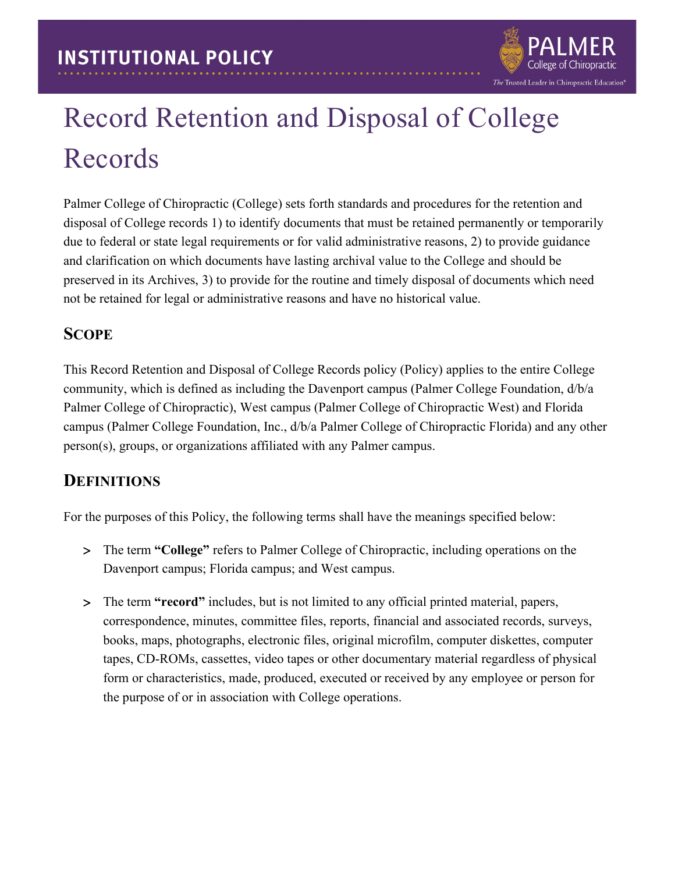

# Record Retention and Disposal of College Records

Palmer College of Chiropractic (College) sets forth standards and procedures for the retention and disposal of College records 1) to identify documents that must be retained permanently or temporarily due to federal or state legal requirements or for valid administrative reasons, 2) to provide guidance and clarification on which documents have lasting archival value to the College and should be preserved in its Archives, 3) to provide for the routine and timely disposal of documents which need not be retained for legal or administrative reasons and have no historical value.

#### **SCOPE**

This Record Retention and Disposal of College Records policy (Policy) applies to the entire College community, which is defined as including the Davenport campus (Palmer College Foundation, d/b/a Palmer College of Chiropractic), West campus (Palmer College of Chiropractic West) and Florida campus (Palmer College Foundation, Inc., d/b/a Palmer College of Chiropractic Florida) and any other person(s), groups, or organizations affiliated with any Palmer campus.

## **DEFINITIONS**

For the purposes of this Policy, the following terms shall have the meanings specified below:

- > The term **"College"** refers to Palmer College of Chiropractic, including operations on the Davenport campus; Florida campus; and West campus.
- > The term **"record"** includes, but is not limited to any official printed material, papers, correspondence, minutes, committee files, reports, financial and associated records, surveys, books, maps, photographs, electronic files, original microfilm, computer diskettes, computer tapes, CD-ROMs, cassettes, video tapes or other documentary material regardless of physical form or characteristics, made, produced, executed or received by any employee or person for the purpose of or in association with College operations.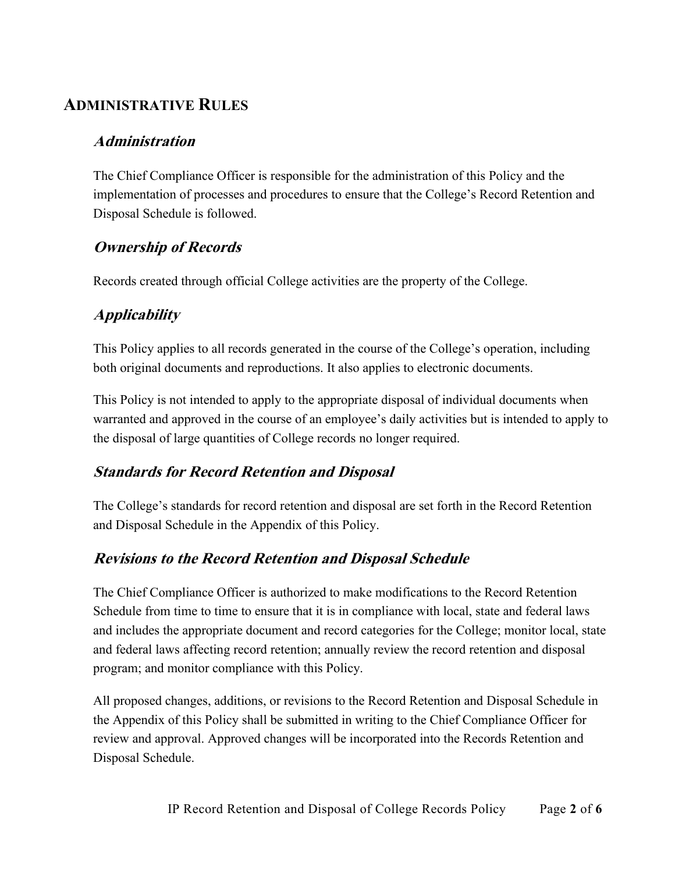### **ADMINISTRATIVE RULES**

#### **Administration**

The Chief Compliance Officer is responsible for the administration of this Policy and the implementation of processes and procedures to ensure that the College's Record Retention and Disposal Schedule is followed.

#### **Ownership of Records**

Records created through official College activities are the property of the College.

#### **Applicability**

This Policy applies to all records generated in the course of the College's operation, including both original documents and reproductions. It also applies to electronic documents.

This Policy is not intended to apply to the appropriate disposal of individual documents when warranted and approved in the course of an employee's daily activities but is intended to apply to the disposal of large quantities of College records no longer required.

#### **Standards for Record Retention and Disposal**

The College's standards for record retention and disposal are set forth in the Record Retention and Disposal Schedule in the Appendix of this Policy.

#### **Revisions to the Record Retention and Disposal Schedule**

The Chief Compliance Officer is authorized to make modifications to the Record Retention Schedule from time to time to ensure that it is in compliance with local, state and federal laws and includes the appropriate document and record categories for the College; monitor local, state and federal laws affecting record retention; annually review the record retention and disposal program; and monitor compliance with this Policy.

All proposed changes, additions, or revisions to the Record Retention and Disposal Schedule in the Appendix of this Policy shall be submitted in writing to the Chief Compliance Officer for review and approval. Approved changes will be incorporated into the Records Retention and Disposal Schedule.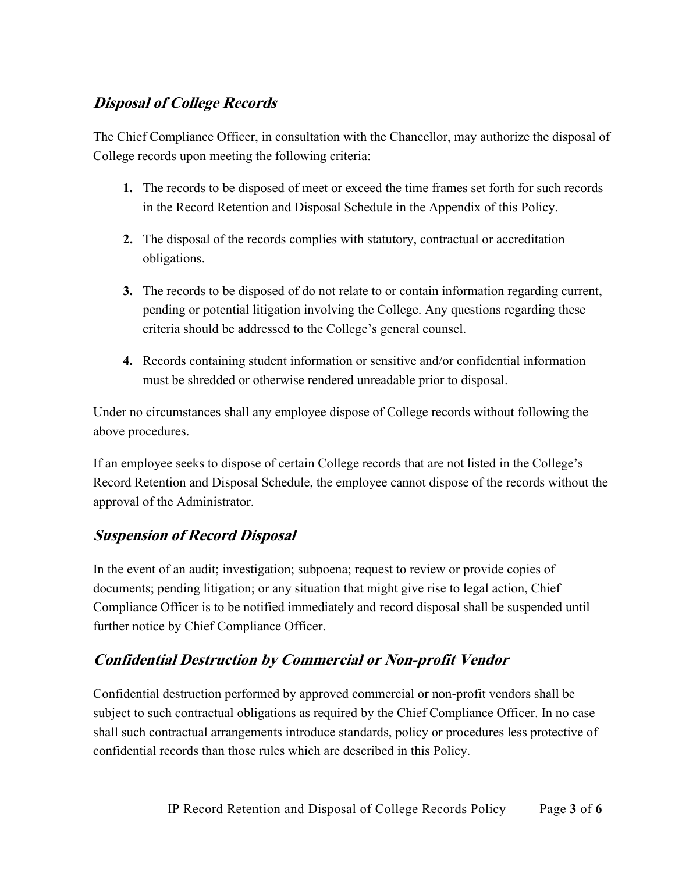#### **Disposal of College Records**

The Chief Compliance Officer, in consultation with the Chancellor, may authorize the disposal of College records upon meeting the following criteria:

- **1.** The records to be disposed of meet or exceed the time frames set forth for such records in the Record Retention and Disposal Schedule in the Appendix of this Policy.
- **2.** The disposal of the records complies with statutory, contractual or accreditation obligations.
- **3.** The records to be disposed of do not relate to or contain information regarding current, pending or potential litigation involving the College. Any questions regarding these criteria should be addressed to the College's general counsel.
- **4.** Records containing student information or sensitive and/or confidential information must be shredded or otherwise rendered unreadable prior to disposal.

Under no circumstances shall any employee dispose of College records without following the above procedures.

If an employee seeks to dispose of certain College records that are not listed in the College's Record Retention and Disposal Schedule, the employee cannot dispose of the records without the approval of the Administrator.

#### **Suspension of Record Disposal**

In the event of an audit; investigation; subpoena; request to review or provide copies of documents; pending litigation; or any situation that might give rise to legal action, Chief Compliance Officer is to be notified immediately and record disposal shall be suspended until further notice by Chief Compliance Officer.

## **Confidential Destruction by Commercial or Non-profit Vendor**

Confidential destruction performed by approved commercial or non-profit vendors shall be subject to such contractual obligations as required by the Chief Compliance Officer. In no case shall such contractual arrangements introduce standards, policy or procedures less protective of confidential records than those rules which are described in this Policy.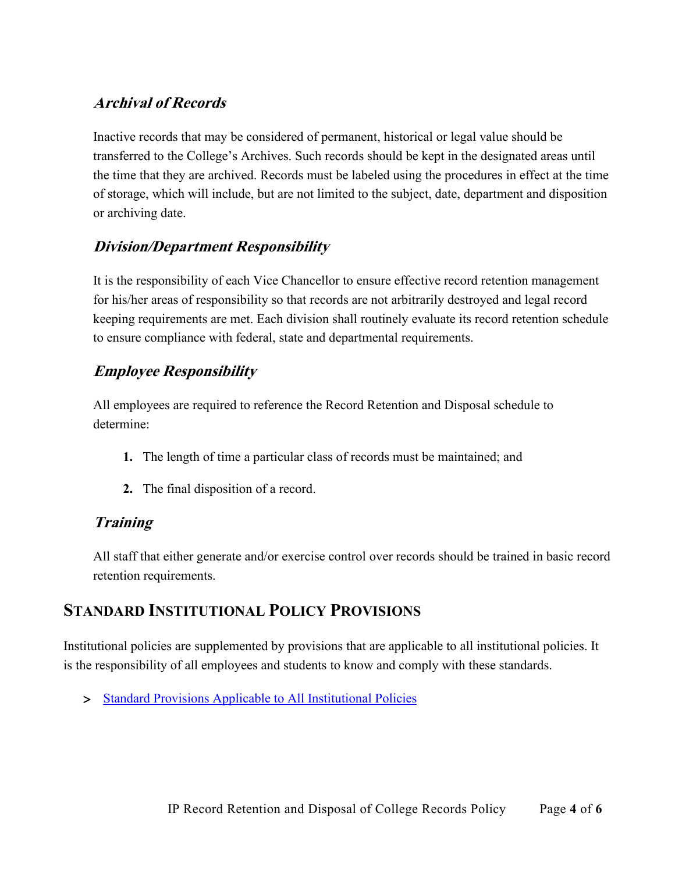#### **Archival of Records**

Inactive records that may be considered of permanent, historical or legal value should be transferred to the College's Archives. Such records should be kept in the designated areas until the time that they are archived. Records must be labeled using the procedures in effect at the time of storage, which will include, but are not limited to the subject, date, department and disposition or archiving date.

#### **Division/Department Responsibility**

It is the responsibility of each Vice Chancellor to ensure effective record retention management for his/her areas of responsibility so that records are not arbitrarily destroyed and legal record keeping requirements are met. Each division shall routinely evaluate its record retention schedule to ensure compliance with federal, state and departmental requirements.

#### **Employee Responsibility**

All employees are required to reference the Record Retention and Disposal schedule to determine:

- **1.** The length of time a particular class of records must be maintained; and
- **2.** The final disposition of a record.

#### **Training**

All staff that either generate and/or exercise control over records should be trained in basic record retention requirements.

#### **STANDARD INSTITUTIONAL POLICY PROVISIONS**

Institutional policies are supplemented by provisions that are applicable to all institutional policies. It is the responsibility of all employees and students to know and comply with these standards.

> [Standard Provisions Applicable to All Institutional Policies](http://www.palmer.edu/uploadedFiles/Pages/Students/Resources_and_Offices/Handbook_and_Policies/_pdf/Standard-Provisions-Applicable-to-All-Institutional-Policies.pdf)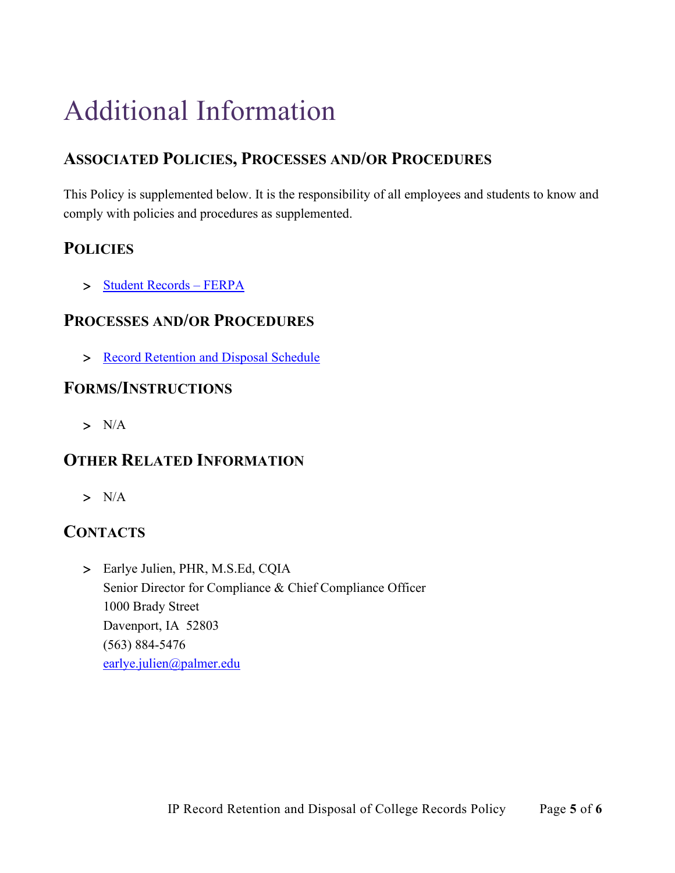## Additional Information

## **ASSOCIATED POLICIES, PROCESSES AND/OR PROCEDURES**

This Policy is supplemented below. It is the responsibility of all employees and students to know and comply with policies and procedures as supplemented.

## **POLICIES**

> [Student Records –](http://www.palmer.edu/uploadedFiles/Pages/Students/Resources_and_Offices/Handbook_and_Policies/_pdf/IP-Student%20Records-FERPA.pdf) FERPA

#### **PROCESSES AND/OR PROCEDURES**

> [Record Retention and Disposal Schedule](https://www.palmer.edu/getmedia/871da342-f3cf-48d3-8577-70ff93cb7265/record-retention-and-disposal-schedule.pdf)

#### **FORMS/INSTRUCTIONS**

> N/A

## **OTHER RELATED INFORMATION**

> N/A

## **CONTACTS**

> Earlye Julien, PHR, M.S.Ed, CQIA Senior Director for Compliance & Chief Compliance Officer 1000 Brady Street Davenport, IA 52803 (563) 884-5476 [earlye.julien@palmer.edu](mailto:earlye.julien@palmer.edu)